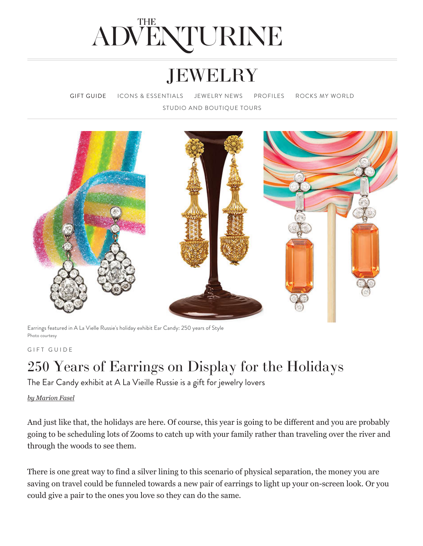## THE ADVENTURINE

# **[JEWELRY](https://theadventurine.com/jewelry/)**

[GIFT GUIDE](https://theadventurine.com/jewelry/gift-guide/) [ICONS & ESSENTIALS](https://theadventurine.com/jewelry/icons-essentials/) [JEWELRY NEWS](https://theadventurine.com/jewelry/jewelry-news/) [PROFILES](https://theadventurine.com/jewelry/profiles/) ROCKS MY WORLD [STUDIO AND BOUTIQUE TOURS](https://theadventurine.com/jewelry/studio-and-boutique-tours/)



Earrings featured in A La Vielle Russie's holiday exhibit Ear Candy: 250 years of Style Photo courtesy

#### GIFT GUIDE

### 250 Years of Earrings on Display for the Holidays

The Ear Candy exhibit at A La Vieille Russie is a gift for jewelry lovers

### *[by Marion Fasel](https://theadventurine.com/author/marionfasel/)*

And just like that, the holidays are here. Of course, this year is going to be different and you are probably going to be scheduling lots of Zooms to catch up with your family rather than traveling over the river and through the woods to see them.

There is one great way to find a silver lining to this scenario of physical separation, the money you are saving on travel could be funneled towards a new pair of earrings to light up your on-screen look. Or you could give a pair to the ones you love so they can do the same.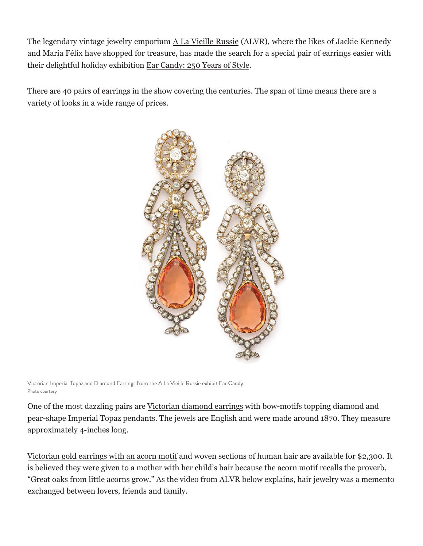The legendary vintage jewelry emporium [A La Vieille Russie](https://www.alvr.com/) (ALVR), where the likes of Jackie Kennedy and Maria Félix have shopped for treasure, has made the search for a special pair of earrings easier with their delightful holiday exhibition [Ear Candy: 250 Years of Style.](https://www.alvr.com/7582/coming-soon-a-special-exhibition-ear-candy-250-years-of-style/)

There are 40 pairs of earrings in the show covering the centuries. The span of time means there are a variety of looks in a wide range of prices.



Victorian Imperial Topaz and Diamond Earrings from the A La Vieille Russie exhibit Ear Candy. Photo courtesy

One of the most dazzling pairs are Victorian diamond earrings with bow-motifs topping diamond and pear-shape Imperial Topaz pendants. The jewels are English and were made around 1870. They measure approximately 4-inches long.

Victorian gold earrings with an acorn motif and woven sections of human hair are available for \$2,300. It is believed they were given to a mother with her child's hair because the acorn motif recalls the proverb, "Great oaks from little acorns grow." As the video from ALVR below explains, hair jewelry was a memento exchanged between lovers, friends and family.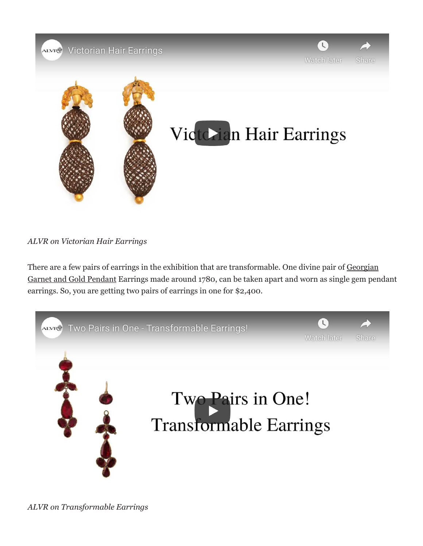**ALVRET Victorian Hair Earrings** 



# Victorian Hair Earrings

**Watch later** 

Share

*ALVR on Victorian Hair Earrings*

There are a few pairs of earrings in the exhibition that are transformable. One divine pair of Georgian Garnet and Gold Pendant Earrings made around 1780, can be taken apart and worn as single gem pendant [earrings. So, you are getting two pairs of earrings in one for \\$2,400.](https://www.alvr.com/7606/georgian-garnet-pendant-earrings/?)